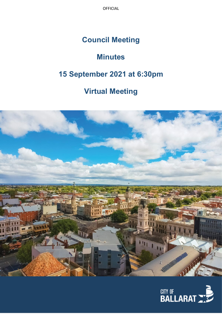OFFICIAL

## **Council Meeting**

# **Minutes**

# **15 September 2021 at 6:30pm**

## **Virtual Meeting**



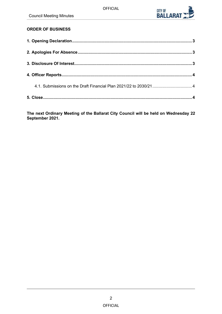

## **ORDER OF BUSINESS**

| 4.1. Submissions on the Draft Financial Plan 2021/22 to 2030/21 4 |  |
|-------------------------------------------------------------------|--|
|                                                                   |  |

**The next Ordinary Meeting of the Ballarat City Council will be held on Wednesday 22 September 2021.**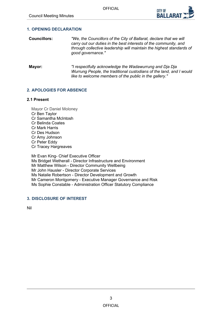

### <span id="page-2-0"></span>**1. OPENING DECLARATION**

- **Councillors:** *"We, the Councillors of the City of Ballarat, declare that we will carry out our duties in the best interests of the community, and through collective leadership will maintain the highest standards of good governance."*
- **Mayor:** *"I respectfully acknowledge the Wadawurrung and Dja Dja Wurrung People, the traditional custodians of the land, and I would like to welcome members of the public in the gallery."*

### **2. APOLOGIES FOR ABSENCE**

#### **2.1 Present**

Mayor Cr Daniel Moloney Cr Ben Taylor Cr Samantha McIntosh Cr Belinda Coates Cr Mark Harris Cr Des Hudson Cr Amy Johnson Cr Peter Eddy Cr Tracey Hargreaves Mr Evan King- Chief Executive Officer

Ms Bridget Wetherall - Director Infrastructure and Environment Mr Matthew Wilson - Director Community Wellbeing Mr John Hausler - Director Corporate Services Ms Natalie Robertson - Director Development and Growth Mr Cameron Montgomery - Executive Manager Governance and Risk Ms Sophie Constable - Administration Officer Statutory Compliance

## **3. DISCLOSURE OF INTEREST**

Nil